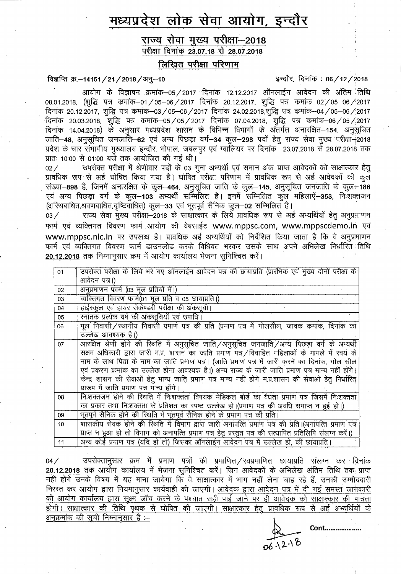# मध्यप्रदेश लोक सेवा आयोग, इन्दौर

राज्य सेवा मुख्य परीक्षा-2018 <u>परीक्षा दि</u>नांक 23.07.18 से 28.07.2018

लिखित परीक्षा परिणाम

## विज्ञप्ति क्र.-14151/21/2018/अनु-10  $\overline{5}$ चित्रसि हिनांक: 06/12/2018

आयोग के विज्ञापन क्रमांक–05/2017 दिनांक 12.12.2017 ऑनलाईन आवेदन की अंतिम तिथि 08.01.2018, (शुद्धि पत्र कमांक-01/05-06/2017 दिनांक 20.12.2017, शुद्धि पत्र कमांक-02/05-06/2017 08.01.2018, (शुद्धि पत्र कमांक—01 / 05—06 / 2017 दिनांक 20.12.2017, शुद्धि पत्र कमांक—02 / 05—06 / 2017<br>दिनांक 20.12.2017, शुद्धि पत्र कमांक—03 / 05—06 / 2017 दिनांक 24.02.2018, शुद्धि पत्र कमांक—0 ।दनाक 20.03.2018, शुम्द्ध पत्र कर्माक–057 057 2017 ।दनाक 07.04.2018, शुम्द्ध पत्र कर्माक–067 057.2017<br>दिनांक 14.04.2018) के अनुसार मध्यप्रदेश शासन के विभिन्न विभागों के अंतर्गत अनारक्षित–**154**, अनुसूचित<br>जाति–**48**, अनुसूचि -**48**, अनुसूचित जनजाति—62 एवं अन्य पिछड़ा वर्ग—34 कुल—298 पदों हेतु राज्य सेवा मुख्य परीक्षा—2018<br>के चार संभागीय मुख्यालय इन्दौर, भोपाल, जबलपुर एवं ग्वालियर पर दिनांक 23.07.2018 से 28.07.2018 तक ■RTcT: 10:00 "^ 01:00 ^ clTp 3)|ii)Rjid ^ sft |

प्रातः 10:00 से 01:00 बजे तक आयोजित की गई थी।<br>02 ⁄ उपरोक्त परीक्षा में श्रेणीवार पदों के 03 गूना अभ्यर्थी एवं समान अंक प्राप्त आवेदकों को साक्षात्कार हेतू प्रावधिक रूप से अर्ह घोषित किया गया है। घोषित परीक्षा परिणाम में प्रावधिक रूप से अर्ह आवेदकों की कुल संख्या- 898 है, जिनमें अनारक्षित के कूल- 464, अनुसूचित जाति के कूल- 145, अनुसूचित जनजाति के कूल- 186 एवं अन्य पिछड़ा वर्ग के कूल-103 अभ्यर्थी सम्मिलित है। इनमें सम्मिलित कुल महिलाऐं-353, निःशक्तजन (अस्थिबाधित,श्रवणबाधित,दृष्टिबाधित) कुल—33 एवं भूतपूर्व सैनिक कुल—02 सम्मिलित है।<br>03 ⁄ राज्य सेवा मख्य परीक्षा—2018 के साक्षात्कार के लिये प्रावधिक रूप से अर्ह

राज्य सेवा मुख्य परीक्षा-2018 के साक्षात्कार के लिये प्रावधिक रूप से अर्ह अभ्यर्थियों हेतु अनुप्रमाणन फार्म एवं व्यक्तिगत विवरण फार्म आयोग की वेबसाईट www.mppsc.com, www.mppscdemo.in एवं www.mppsc.nic.in पर उपलब्ध है। प्रावधिक अर्ह अभ्यर्थियों को निर्देशित किया जाता है कि वे अनुप्रमाणन फार्म एवं व्यक्तिगत विवरण फार्म डाउनलोड करके विधिवत भरकर उसके साथ अपने अभिलेख निर्धारित तिथि 20.12.2018 तक निम्नानूसार क्रम में आयोग कार्यालय भेजना सुनिश्चित करें।

|                  | $\frac{1}{2}$ and $\frac{1}{2}$ and $\frac{1}{2}$ and $\frac{1}{2}$ and $\frac{1}{2}$ and $\frac{1}{2}$ and $\frac{1}{2}$ and $\frac{1}{2}$ and $\frac{1}{2}$ and $\frac{1}{2}$ and $\frac{1}{2}$ and $\frac{1}{2}$ and $\frac{1}{2}$ and $\frac{1}{2}$ and $\frac{1}{2}$ and $\frac{1}{2}$ a |
|------------------|-----------------------------------------------------------------------------------------------------------------------------------------------------------------------------------------------------------------------------------------------------------------------------------------------|
| 01               | उपरोक्त परीक्षा के लिये भरे गए ऑनलाईन आवेदन पत्र की छायाप्रति (प्रारंभिक एवं मुख्य दोनों परीक्षा के                                                                                                                                                                                           |
|                  | आवेदन पत्र।)                                                                                                                                                                                                                                                                                  |
| 02               | अनुप्रमाणन फार्म (03 मूल प्रतियों में।)                                                                                                                                                                                                                                                       |
| 03               | व्यक्तिगत विवरण फार्म(01 मूल प्रति व 05 छायाप्रति।)                                                                                                                                                                                                                                           |
| 04               | हाईस्कूल एवं हायर सेकेण्डरी परीक्षा की अंकसूची।                                                                                                                                                                                                                                               |
| 05               | रनातक प्रत्येक वर्ष की अकसूचियाँ एवं उपाधि।                                                                                                                                                                                                                                                   |
| 06               | मूल निवासी/स्थानीय निवासी प्रमाणे पत्र की प्रति (प्रमाण पत्र में गोलसील, जावक क्रमांक, दिनांक का                                                                                                                                                                                              |
|                  | उल्लेख आवश्यक है।)                                                                                                                                                                                                                                                                            |
| 07               | आरक्षित श्रेणी होने की रिथति में अनुसूचित जाति/अनुसूचित जनजाति/अन्य पिछड़ा वर्ग के अभ्यर्थी                                                                                                                                                                                                   |
|                  | सक्षम अधिकारी द्वारा जारी म.प्र. शासन का जाति प्रमाण पत्र/विवाहित महिलाओं के मामले में स्वयं के                                                                                                                                                                                               |
|                  | नाम के साथ पिता के नाम का जाति प्रमाण पत्र। (जाति प्रमाण पत्र में जारी करने का दिनांक, गोल सील                                                                                                                                                                                                |
|                  | एवं प्रकरण क्रमांक का उल्लेख होना आवश्यक है।) अन्य राज्य के जारी जाति प्रमाण पत्र मान्य नहीं होंगे।                                                                                                                                                                                           |
|                  | केन्द्र शासन की सेवाओं हेतु मान्य जाति प्रमाण पत्र मान्य नहीं होगे म.प्र.शासन की सेवाओं हेतु निर्धारित                                                                                                                                                                                        |
|                  | प्रारूप में जाति प्रमाण पत्र मान्य होंगे।                                                                                                                                                                                                                                                     |
| 08               | निःशक्तजन होने की स्थिति में निःशक्तता विषयक मेडिकल बोर्ड का वैधता प्रमाण पत्र जिसमें निःशक्तता                                                                                                                                                                                               |
|                  | का प्रकार तथा निःशक्तता के प्रतिशत का स्पष्ट उल्लेख हो।(प्रमाण पत्र की अवधि समाप्त न हुई हो।)                                                                                                                                                                                                 |
| 09               | भूतपूर्व सैनिक होने की रिथति में भूतपूर्व सैनिक होने के प्रमाण पत्र की प्रति।                                                                                                                                                                                                                 |
| 10 <sup>10</sup> | शासकीय सेवक होने की स्थिति में विभाग द्वारा जारी अनापत्ति प्रमाण पत्र की प्रति।(अनापत्ति प्रमाण पत्र                                                                                                                                                                                          |
|                  | प्राप्त न हुआ हो तो विभाग को अनापत्ति प्रमाण पत्र हेतु प्रस्तुत पत्र की सत्यापित प्रतिलिपि संलग्न करें।)                                                                                                                                                                                      |
| 11               | अन्य कोई प्रमाण पत्र (यदि हो तो) जिसका ऑनलाईन आवेदन पत्र में उल्लेख हो, की छायाप्रति।                                                                                                                                                                                                         |

04/ RrtcRTgRR 5RT t WR R7f ^ Wf^/FTWf^ WRPft RRR R? ■ f^^TTP 20.12.2018 तक आयोग कार्यालय में भेजना सुनिश्चित करें। जिन आवेदकों के अभिलेख अंतिम तिथि तक प्राप्त 04 / उपराक्तानुसार क्रम म प्रमाण पत्रो की प्रमाणित /रवप्रमाणित छायाप्रति सलग्न कर दिनाक<br><mark>20.12.2018</mark> तक आयोग कार्यालय में भेजना सुनिश्चित करें। जिन आवेदकों के अभिलेख अंतिम तिथि तक प्राप्त<br>नहीं होंगे उनके गे उनके विषय में यह माना जायेगा कि वे साक्षात्कार में भाग नहीं लेना चाह रहे हैं, उनकी उम्मीदवारी<br>कर आयोग द्वारा नियमानुसार कार्यवाही की जाएगी। <u>आवेदक द्वारा आवेदन पत्र में दी गई समस्त जानकार</u>ी th commit and ready thanged with an and the state of the teacher of the commitment.<br><u>की आयोग कार्यालय द्वारा सुक्ष्म जॉच करने के पश्चात् सही पाई जाने पर ही आवेदक को साक्षात्कार की पात्रता</u><br>होगी। साक्षात्कार की तिथि पृथक स <u>होगी। साक्षात्कार की तिथि पृथक से घोषित की जाएगी। साक्षात्कार हेतु प्रावधिक रूप से अर्ह अभ्यर्थियों के</u><br>अनुक्रमांक की सूची निम्नानुसार है :—

 $061218$ 

Cont.,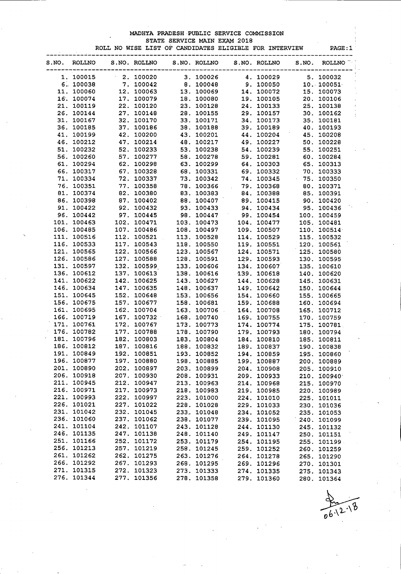### MADHYA PRADESH PUBLIC SERVICE COMMISSION STATE SERVICE MAIN EXAM 2018

ROLL NO WISE LIST OF CANDIDATES ELIGIBLE FOR INTERVIEW PAGE:1

| S.NO. | ROLLNO           |      | S.NO. ROLLNO | S.NO. ROLLNO |      | S.NO. ROLLNO | S.NO. | <b>ROLLNO</b> |
|-------|------------------|------|--------------|--------------|------|--------------|-------|---------------|
|       | 1. 100015        |      | $-2.100020$  | 3. 100026    |      | 4. 100029    |       | 5. 100032     |
|       | 6.100038         |      | 7. 100042    | 8. 100048    |      | 9. 100050    |       | 10.100051     |
|       | 11. 100060       |      | 12. 100063   | 13. 100069   |      | 14. 100072   |       | 15. 100073    |
|       | 16. 100074       |      | 17. 100079   | 18. 100080   |      | 19. 100105   |       | 20. 100106    |
|       | 21. 100119       |      | 22. 100120   | 23. 100128   |      | 24. 100133   |       | 25. 100138    |
|       | 26. 100144       |      | 27. 100148   | 28. 100155   |      | 29. 100157   |       | 30. 100162    |
|       | 31. 100167       |      | 32. 100170   | 33. 100171   |      | 34. 100173   |       | 35. 100181    |
|       | 36. 100185       |      | 37. 100186   | 38. 100188   | 39.  | 100189       |       | 40. 100193    |
|       | 41. 100199       |      | 42. 100200   | 43. 100201   |      | 44. 100204   |       | 45. 100208    |
|       | 46. 100212       |      | 47. 100214   | 48. 100217   |      | 49. 100227   |       | 50. 100228    |
|       | 51. 100232       |      | 52. 100233   | 53. 100238   |      | 54. 100239   |       | 55. 100251    |
|       | 56. 100260       |      | 57. 100277   | 58. 100278   |      | 59. 100281   |       | 60. 100284    |
|       | 61. 100294       |      | 62. 100298   | 63. 100299   |      | 64. 100303   |       | 65. 100313    |
|       |                  |      |              |              |      |              |       |               |
|       | 66. 100317       |      | 67. 100328   | 68. 100331   |      | 69. 100332   |       | 70. 100333    |
|       | 71. 100334       |      | 72. 100337   | 73. 100342   |      | 74. 100345   |       | 75. 100350    |
|       | 76. 100351       |      | 77. 100358   | 78. 100366   |      | 79. 100368   |       | 80. 100371    |
|       | 81. 100374       |      | 82. 100380   | 83. 100383   | 84.  | 100388       |       | 85. 100391    |
|       | 86. 100398       |      | 87. 100402   | 88. 100407   |      | 89. 100415   |       | 90. 100420    |
|       | 91. 100422       |      | 92. 100432   | 93. 100433   |      | 94. 100434   |       | 95. 100436    |
|       | 96. 100442       |      | 97. 100445   | 98. 100447   | 99.  | 100454       |       | 100. 100459   |
| 101.  | 100463           | 102. | 100471       | 103. 100473  | 104. | 100477       |       | 105. 100481   |
|       | 106. 100485      | 107. | 100486       | 108. 100497  |      | 109. 100507  |       | 110. 100514   |
| 111.  | 100516           |      | 112. 100521  | 113. 100528  | 114. | 100529       |       | 115. 100532   |
|       | 116. 100533      |      | 117. 100543  | 118. 100550  |      | 119. 100551  |       | 120. 100561   |
| 121.  | 100565           |      | 122. 100566  | 123. 100567  | 124. | 100571       |       | 125. 100580   |
|       | 126. 100586      |      | 127. 100588  | 128. 100591  |      | 129. 100593  |       | 130. 100595   |
| 131.  | 100597           |      | 132. 100599  | 133. 100606  | 134. | 100607       |       | 135. 100610   |
|       | 136. 100612      |      | 137. 100613  | 138. 100616  |      | 139. 100618  |       | 140. 100620   |
|       | 141. 100622      |      | 142. 100625  | 143. 100627  | 144. | 100628       |       | 145. 100631   |
|       | 146. 100634      |      | 147. 100635  | 148. 100637  | 149. | 100642       |       | 150. 100644   |
| 151.  | 100645           | 152. | 100648       | 153. 100656  |      | 154. 100660  |       | 155. 100665   |
| 156.  | 100675           |      | 157. 100677  | 158. 100681  | 159. | 100688       |       | 160. 100694   |
| 161.  | 100695           |      | 162. 100704  | 163. 100706. | 164. | 100708       |       | 165. 100712   |
| 166.  | 100719           | 167. | 100732       | 168. 100740  | 169. | 100755       |       | 170. 100759   |
| 171.  | 100761           | 172. | 100767       | 173. 100773  | 174. | 100774       |       | 175. 100781   |
| 176.  | 100782           | 177. | 100788       | 178. 100790  |      | 179. 100793  |       |               |
| 181.  |                  | 182. |              |              |      |              |       | 180. 100794   |
|       | 100796<br>100812 |      | 100803       | 183. 100804  |      | 184. 100810  |       | 185. 100811   |
| 186.  |                  | 187. | 100816       | 188. 100832  |      | 189. 100837  |       | 190. 100838   |
| 191.  | 100849           | 192. | 100851       | 193. 100852  |      | 194. 100859  |       | 195, 100860   |
|       | 196. 100877      |      | 197. 100880  | 198. 100885  |      | 199. 100887  |       | 200. 100889   |
|       | 201. 100890      |      | 202. 100897  | 203. 100899  |      | 204. 100908  |       | 205. 100910   |
|       | 206. 100918      |      | 207. 100930  | 208. 100931  |      | 209. 100933  |       | 210. 100940   |
|       | 211. 100945      |      | 212. 100947  | 213. 100963  |      | 214. 100968  |       | 215. 100970   |
|       | 216. 100971      |      | 217. 100973  | 218. 100983  |      | 219. 100985  |       | 220. 100989   |
|       | 221. 100993      |      | 222. 100997  | 223. 101000  |      | 224. 101010  |       | 225. 101011   |
|       | 226. 101021      |      | 227. 101022  | 228. 101028  |      | 229. 101033  |       | 230. 101036   |
|       | 231. 101042      |      | 232. 101045  | 233, 101048  |      | 234. 101052  |       | 235. 101053   |
|       | 236. 101060      |      | 237. 101062  | 238. 101077  |      | 239. 101095  |       | 240. 101099   |
|       | 241. 101104      |      | 242. 101107  | 243. 101128  |      | 244. 101130  |       | 245. 101132   |
|       | 246. 101135      |      | 247. 101138  | 248. 101140  |      | 249. 101147  |       | 250. 101151   |
|       | 251. 101166      |      | 252. 101172  | 253. 101179  |      | 254. 101195  |       | 255. 101199   |
|       | 256. 101213      |      | 257. 101219  | 258. 101245  |      | 259. 101252  |       | 260. 101259   |
|       | 261. 101262      |      | 262. 101275  | 263. 101276  |      | 264. 101278  |       | 265. 101290   |
|       | 266. 101292      |      | 267. 101293  | 268. 101295  |      | 269. 101296  |       | 270. 101301   |
|       | 271. 101315      |      | 272. 101323  | 273. 101333  |      | 274. 101335  |       | 275. 101343   |
|       | 276. 101344      |      | 277. 101356  | 278. 101358  |      | 279. 101360  |       | 280. 101364   |
|       |                  |      |              |              |      |              |       |               |

'\h $\bm{b}$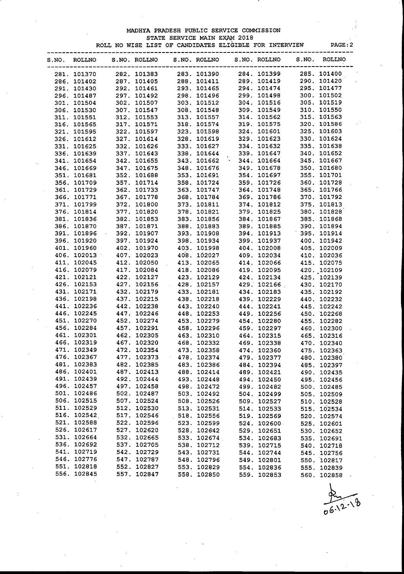### MADHYA PRADESH PUBLIC SERVICE COMMISSION STATE SERVICE MAIN EXAM 2018

|       |                            |             |              |  |              | ROLL NO WISE LIST OF CANDIDATES ELIGIBLE FOR INTERVIEW                                                                                                                                                                                              |             |       | PAGE:2        |  |
|-------|----------------------------|-------------|--------------|--|--------------|-----------------------------------------------------------------------------------------------------------------------------------------------------------------------------------------------------------------------------------------------------|-------------|-------|---------------|--|
| S.NO. | <b>ROLLNO</b>              |             | S.NO. ROLLNO |  | S.NO. ROLLNO | S.NO. ROLLNO                                                                                                                                                                                                                                        |             | S.NO. | <b>ROLLNO</b> |  |
|       | 281. 101370                | 282. 101383 |              |  | 283. 101390  | 284.101399<br>281. 101370<br>286. 101402 287. 101383 283. 101390 284. 101399 286. 101412<br>287. 101443 227. 101405 288. 101411 289. 101419 299. 101420<br>297. 101430 227. 101465 228. 101465 229. 101448 299. 101449 299. 101472<br>297. 101487 2 |             |       | 285. 101400   |  |
|       | 286. 101402                | 287. 101405 |              |  |              | 288. 101411 289. 101419 290. 101420                                                                                                                                                                                                                 |             |       |               |  |
|       |                            |             |              |  |              |                                                                                                                                                                                                                                                     |             |       |               |  |
|       |                            |             |              |  |              |                                                                                                                                                                                                                                                     |             |       |               |  |
|       |                            |             |              |  |              |                                                                                                                                                                                                                                                     |             |       |               |  |
|       |                            |             |              |  |              |                                                                                                                                                                                                                                                     |             |       |               |  |
|       |                            |             |              |  |              |                                                                                                                                                                                                                                                     |             |       |               |  |
|       |                            |             |              |  |              |                                                                                                                                                                                                                                                     |             |       |               |  |
|       |                            |             |              |  |              |                                                                                                                                                                                                                                                     |             |       |               |  |
|       |                            |             |              |  |              |                                                                                                                                                                                                                                                     |             |       |               |  |
|       |                            |             |              |  |              |                                                                                                                                                                                                                                                     |             |       |               |  |
|       |                            |             |              |  |              |                                                                                                                                                                                                                                                     |             |       |               |  |
|       |                            |             |              |  |              |                                                                                                                                                                                                                                                     |             |       |               |  |
|       |                            |             |              |  |              |                                                                                                                                                                                                                                                     |             |       |               |  |
|       |                            |             |              |  |              |                                                                                                                                                                                                                                                     |             |       |               |  |
|       |                            |             |              |  |              |                                                                                                                                                                                                                                                     |             |       |               |  |
|       |                            |             |              |  |              |                                                                                                                                                                                                                                                     |             |       |               |  |
|       |                            |             |              |  |              |                                                                                                                                                                                                                                                     |             |       |               |  |
|       |                            |             |              |  |              |                                                                                                                                                                                                                                                     |             |       |               |  |
|       |                            |             |              |  |              |                                                                                                                                                                                                                                                     |             |       |               |  |
|       |                            |             |              |  |              |                                                                                                                                                                                                                                                     |             |       |               |  |
|       |                            |             |              |  |              |                                                                                                                                                                                                                                                     |             |       |               |  |
|       |                            |             |              |  |              |                                                                                                                                                                                                                                                     |             |       |               |  |
|       |                            |             |              |  |              |                                                                                                                                                                                                                                                     |             |       |               |  |
|       |                            |             |              |  |              |                                                                                                                                                                                                                                                     |             |       |               |  |
|       |                            |             |              |  |              |                                                                                                                                                                                                                                                     |             |       |               |  |
|       |                            |             |              |  |              |                                                                                                                                                                                                                                                     |             |       |               |  |
|       |                            |             |              |  |              |                                                                                                                                                                                                                                                     |             |       |               |  |
|       |                            |             |              |  |              |                                                                                                                                                                                                                                                     |             |       |               |  |
|       |                            |             |              |  |              |                                                                                                                                                                                                                                                     |             |       |               |  |
|       |                            |             |              |  |              |                                                                                                                                                                                                                                                     |             |       |               |  |
|       |                            |             |              |  |              |                                                                                                                                                                                                                                                     |             |       |               |  |
|       |                            |             |              |  |              |                                                                                                                                                                                                                                                     |             |       |               |  |
|       |                            |             |              |  |              |                                                                                                                                                                                                                                                     |             |       |               |  |
|       |                            |             |              |  |              |                                                                                                                                                                                                                                                     |             |       |               |  |
|       |                            |             |              |  |              |                                                                                                                                                                                                                                                     |             |       |               |  |
|       |                            |             |              |  |              |                                                                                                                                                                                                                                                     |             |       |               |  |
|       |                            |             |              |  |              |                                                                                                                                                                                                                                                     |             |       |               |  |
|       | 471. 102349                |             | 472. 102354  |  | 473. 102358  |                                                                                                                                                                                                                                                     | 474. 102360 |       | 475. 102363   |  |
|       | 476. 102367                |             | 477. 102373  |  | 478. 102374  |                                                                                                                                                                                                                                                     | 479. 102377 |       | 480. 102380   |  |
|       | 481. 102383                |             | 482. 102385  |  | 483. 102386  |                                                                                                                                                                                                                                                     | 484. 102394 |       | 485. 102397   |  |
|       | 486. 102401                |             | 487. 102413  |  | 488. 102414  |                                                                                                                                                                                                                                                     | 489. 102421 |       | 490. 102435   |  |
|       | 491. 102439                |             | 492. 102444  |  | 493. 102448  |                                                                                                                                                                                                                                                     | 494. 102450 |       | 495. 102456   |  |
|       | 496. 102457                |             | 497. 102458  |  | 498. 102472  |                                                                                                                                                                                                                                                     | 499. 102482 |       | 500. 102485   |  |
|       | 501. 102486                |             | 502. 102487  |  | 503. 102492  |                                                                                                                                                                                                                                                     | 504. 102499 |       | 505. 102509   |  |
|       | 506. 102515                |             | 507. 102524  |  | 508. 102526  |                                                                                                                                                                                                                                                     | 509. 102527 |       | 510. 102528   |  |
|       | 511. 102529                |             | 512. 102530  |  | 513. 102531  |                                                                                                                                                                                                                                                     | 514. 102533 |       | 515. 102534   |  |
|       | 516. 102542                |             | 517. 102546  |  | 518. 102556  |                                                                                                                                                                                                                                                     | 519. 102569 |       | 520. 102574   |  |
|       | 521. 102588<br>526. 102617 |             | 522. 102596  |  | 523. 102599  |                                                                                                                                                                                                                                                     | 524. 102600 |       | 525. 102601   |  |
|       |                            |             | 527. 102620  |  | 528.102642   |                                                                                                                                                                                                                                                     | 529. 102651 |       | 530. 102652   |  |
|       | 531. 102664<br>536. 102692 |             | 532. 102665  |  | 533. 102674  |                                                                                                                                                                                                                                                     | 534. 102683 |       | 535. 102691   |  |
|       |                            |             | 537. 102705  |  | 538. 102712  |                                                                                                                                                                                                                                                     | 539. 102715 |       | 540. 102718   |  |
|       | 541. 102719                |             | 542. 102729  |  | 543. 102731  |                                                                                                                                                                                                                                                     | 544. 102744 |       | 545. 102756   |  |
|       | 546. 102776                |             | 547. 102787  |  | 548. 102796  |                                                                                                                                                                                                                                                     | 549. 102801 |       | 550. 102817   |  |
|       | 551. 102818                |             | 552. 102827  |  | 553. 102829  |                                                                                                                                                                                                                                                     | 554. 102836 |       | 555. 102839   |  |
|       | 556. 102845                |             | 557. 102847  |  | 558. 102850  |                                                                                                                                                                                                                                                     | 559. 102853 |       | 560. 102858   |  |

 $06.12.18$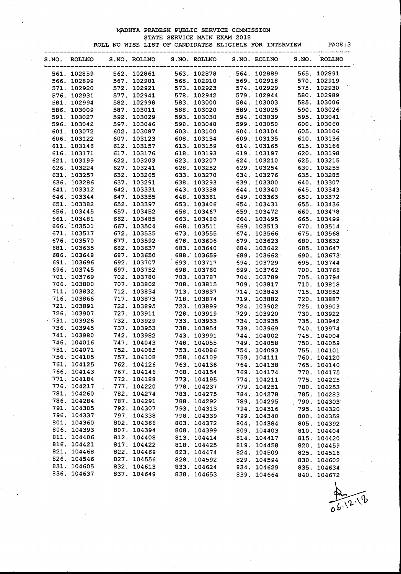#### MADHYA PRADESH PUBLIC SERVICE COMMISSION STATE SERVICE MAIN EXAM 2018 ROLL NO WISE LIST OF CANDIDATES ELIGIBLE FOR INTERVIEW PAGE:3

| S.NO. ROLLNO               |                                                     |                            | S.NO. ROLLNO S.NO. ROLLNO                                                                                                                                |             |                                                                                                          | S.NO. ROLLNO               | S.NO.                                           | <b>ROLLNO</b> |
|----------------------------|-----------------------------------------------------|----------------------------|----------------------------------------------------------------------------------------------------------------------------------------------------------|-------------|----------------------------------------------------------------------------------------------------------|----------------------------|-------------------------------------------------|---------------|
| 561. 102859                | $-562.102861$                                       |                            |                                                                                                                                                          |             | 563. 102878 564. 102889                                                                                  |                            |                                                 | 565. 102891   |
| 566. 102899                | 567. 102901                                         |                            |                                                                                                                                                          |             | 568.102910 569.102918                                                                                    |                            |                                                 | 570. 102919   |
| 571. 102920                |                                                     | 572. 102921                |                                                                                                                                                          |             |                                                                                                          |                            |                                                 | 575. 102930   |
| 576. 102931                | 572. 102921<br>577. 102941<br>582. 102998           |                            |                                                                                                                                                          |             | 573. 102923 574. 102929<br>578. 102942 579. 102944                                                       |                            |                                                 | 580. 102989   |
| 581. 102994                |                                                     |                            |                                                                                                                                                          |             | 583. 103000 584. 103003                                                                                  |                            |                                                 | 585. 103006   |
| 586. 103009                |                                                     |                            |                                                                                                                                                          |             |                                                                                                          |                            |                                                 | 590. 103026   |
| 591. 103027                |                                                     |                            | 587. 103011 588. 103020 589. 103025<br>592. 103029 593. 103030 594. 103039<br>597. 103046 598. 103048 599. 103050<br>602. 103087 603. 103100 604. 103104 |             |                                                                                                          |                            |                                                 | 595. 103041   |
| 596. 103042                |                                                     |                            |                                                                                                                                                          |             |                                                                                                          |                            |                                                 | 600. 103060   |
| 601. 103072                |                                                     |                            |                                                                                                                                                          |             |                                                                                                          |                            |                                                 | 605. 103106   |
| 606. 103122                | 607. 103123                                         |                            | 608.103134 609.103135                                                                                                                                    |             |                                                                                                          |                            |                                                 | 610. 103136   |
| 611. 103146                | 612. 103157                                         |                            | 612. 103157 613. 103159 614. 103165<br>617. 103176 618. 103193 619. 103197<br>622. 103203 623. 103207 624. 103210<br>627. 103241 628. 103252 629. 103254 |             |                                                                                                          |                            |                                                 | 615. 103166   |
| 616. 103171                |                                                     |                            |                                                                                                                                                          |             |                                                                                                          |                            | 620. 103198<br>625. 103215                      |               |
| 621. 103199                |                                                     |                            |                                                                                                                                                          |             |                                                                                                          |                            |                                                 |               |
| 626. 103224                |                                                     |                            |                                                                                                                                                          |             |                                                                                                          |                            | 630. 103255                                     |               |
| 631. 103257                |                                                     |                            |                                                                                                                                                          |             |                                                                                                          |                            | 632. 103265 633. 103270 634. 103276 635. 103285 |               |
| 636. 103286                | 637. 103291                                         |                            |                                                                                                                                                          |             |                                                                                                          |                            |                                                 | 640. 103307   |
| 641. 103312                |                                                     |                            |                                                                                                                                                          |             |                                                                                                          |                            |                                                 | 645. 103343   |
| 646. 103344                | 637. 103291<br>642. 103331<br>647. 103355           |                            |                                                                                                                                                          |             | 638. 103293 639. 103300<br>643. 103338 644. 103340<br>648. 103361 649. 103363                            |                            |                                                 | 650. 103372   |
| 651. 103382                | 652.103397                                          |                            |                                                                                                                                                          |             | 653.103406 654.103431                                                                                    |                            |                                                 | 655. 103436   |
| 656. 103445                | 657.103452                                          |                            |                                                                                                                                                          |             | 658.103467 659.103472                                                                                    |                            |                                                 | 660. 103478   |
| 661. 103481                |                                                     |                            |                                                                                                                                                          |             |                                                                                                          |                            |                                                 | 665. 103499   |
| 666. 103501                | 662. 103485<br>667. 103504<br>672. 103535<br>100502 |                            |                                                                                                                                                          |             |                                                                                                          |                            |                                                 | 670. 103514   |
| 671. 103517                |                                                     |                            |                                                                                                                                                          |             |                                                                                                          |                            |                                                 | 675. 103568   |
| 676. 103570                |                                                     | 677. 103592                |                                                                                                                                                          |             |                                                                                                          |                            |                                                 | 680. 103632   |
| 681. 103635                |                                                     | 682. 103637                |                                                                                                                                                          |             |                                                                                                          |                            |                                                 | 685. 103647   |
| 686. 103648                |                                                     |                            |                                                                                                                                                          |             | 683. 103640 684. 103642<br>688. 103659 689. 103662<br>693. 103717 694. 103729<br>698. 103760 699. 103762 |                            |                                                 | 690. 103673   |
| 691. 103696                | -دودنا 687.<br>692. 103707<br>103752                |                            |                                                                                                                                                          |             |                                                                                                          |                            |                                                 | 695. 103744   |
| 696. 103745                | 697. 103752                                         |                            |                                                                                                                                                          |             |                                                                                                          |                            |                                                 | 700. 103766   |
| 701. 103769                |                                                     | 702. 103780                |                                                                                                                                                          |             | 703. 103787 704. 103789                                                                                  |                            |                                                 | 705. 103794   |
| 706. 103800                |                                                     | 707. 103802                |                                                                                                                                                          |             | 708. 103815 709. 103817                                                                                  |                            |                                                 | 710. 103818   |
| 711. 103832                |                                                     | 712. 103834                |                                                                                                                                                          |             |                                                                                                          |                            |                                                 | 715. 103852   |
| 716. 103866                |                                                     | 717. 103873                |                                                                                                                                                          |             | 113. 103837<br>118. 103874<br>119. 103892<br>123. 103899<br>124. 103902                                  |                            |                                                 | 720. 103887   |
| 721. 103891                |                                                     | 722.103895                 |                                                                                                                                                          |             |                                                                                                          |                            |                                                 | 725. 103903   |
| 726. 103907                |                                                     | 727. 103911                |                                                                                                                                                          |             | 728.103919 729.103920                                                                                    |                            |                                                 | 730. 103922   |
| $-731.103926$              |                                                     | 732. 103929                |                                                                                                                                                          |             |                                                                                                          |                            |                                                 | 735. 103942   |
| 736. 103945                | 732. 103929<br>737. 103953<br>742. 103982           |                            |                                                                                                                                                          |             |                                                                                                          |                            |                                                 | 740. 103974   |
| 741. 103980                |                                                     |                            |                                                                                                                                                          |             |                                                                                                          |                            |                                                 | 745. 104004   |
| 746. 104016                |                                                     | 747. 104043                |                                                                                                                                                          |             | 733. 103933<br>738. 103954<br>738. 103954<br>739. 103969<br>744. 104002<br>748. 104055<br>749. 104058    |                            |                                                 | 750. 104059   |
| 751. 104071                |                                                     | 752. 104085                |                                                                                                                                                          | 753.104086  |                                                                                                          | 754.104093                 |                                                 | 755. 104101   |
| 756. 104105                |                                                     | 757. 104108                |                                                                                                                                                          | 758. 104109 |                                                                                                          | 759. 104111                |                                                 | 760. 104120   |
| 761. 104125                |                                                     | 762. 104126                |                                                                                                                                                          | 763. 104136 |                                                                                                          | 764. 104138                |                                                 | 765. 104140   |
| 766. 104143                |                                                     | 767. 104146                |                                                                                                                                                          | 768. 104154 |                                                                                                          | 769. 104174                |                                                 | 770. 104175   |
| 771. 104184                |                                                     | 772. 104188                |                                                                                                                                                          | 773. 104195 |                                                                                                          |                            |                                                 | 775. 104215   |
| 776. 104217                |                                                     | 777. 104220                |                                                                                                                                                          | 778. 104237 |                                                                                                          | 774. 104211<br>779. 104251 |                                                 |               |
| 781. 104260                |                                                     | 782. 104274                |                                                                                                                                                          | 783. 104275 |                                                                                                          | 784. 104278                |                                                 | 780. 104253   |
| 786. 104284                |                                                     | 787. 104291                |                                                                                                                                                          | 788. 104292 |                                                                                                          |                            |                                                 | 785. 104283   |
|                            |                                                     |                            |                                                                                                                                                          |             |                                                                                                          | 789. 104295                |                                                 | 790. 104303   |
| 791. 104305<br>796. 104337 |                                                     | 792. 104307<br>797. 104338 |                                                                                                                                                          | 793. 104313 |                                                                                                          | 794. 104316                |                                                 | 795. 104320   |
|                            |                                                     |                            |                                                                                                                                                          | 798. 104339 |                                                                                                          | 799. 104340                |                                                 | 800. 104358   |
| 801. 104360                |                                                     | 802. 104366                |                                                                                                                                                          | 803. 104372 |                                                                                                          | 804. 104384                |                                                 | 805. 104392   |
| 806. 104393                |                                                     | 807. 104394                |                                                                                                                                                          | 808. 104399 |                                                                                                          | 809. 104403                |                                                 | 810. 104404   |
| 811. 104406<br>816. 104421 |                                                     | 812. 104408                |                                                                                                                                                          | 813. 104414 |                                                                                                          | 814. 104417                |                                                 | 815. 104420   |
|                            |                                                     | 817. 104422                |                                                                                                                                                          | 818. 104425 |                                                                                                          | 819. 104458                |                                                 | 820. 104459   |
| 821. 104468                |                                                     | 822. 104469                |                                                                                                                                                          | 823. 104474 |                                                                                                          | 824. 104509                |                                                 | 825. 104516   |
| 826. 104546                |                                                     | 827. 104556                |                                                                                                                                                          | 828. 104592 |                                                                                                          | 829. 104594                |                                                 | 830. 104602   |
| 831. 104605                |                                                     | 832. 104613                |                                                                                                                                                          | 833. 104624 |                                                                                                          | 834.104629                 |                                                 | 835. 104634   |
| 836. 104637                |                                                     | 837. 104649                |                                                                                                                                                          | 838. 104653 |                                                                                                          | 839. 104664                |                                                 | 840. 104672   |

৾৻ৡ 0ه